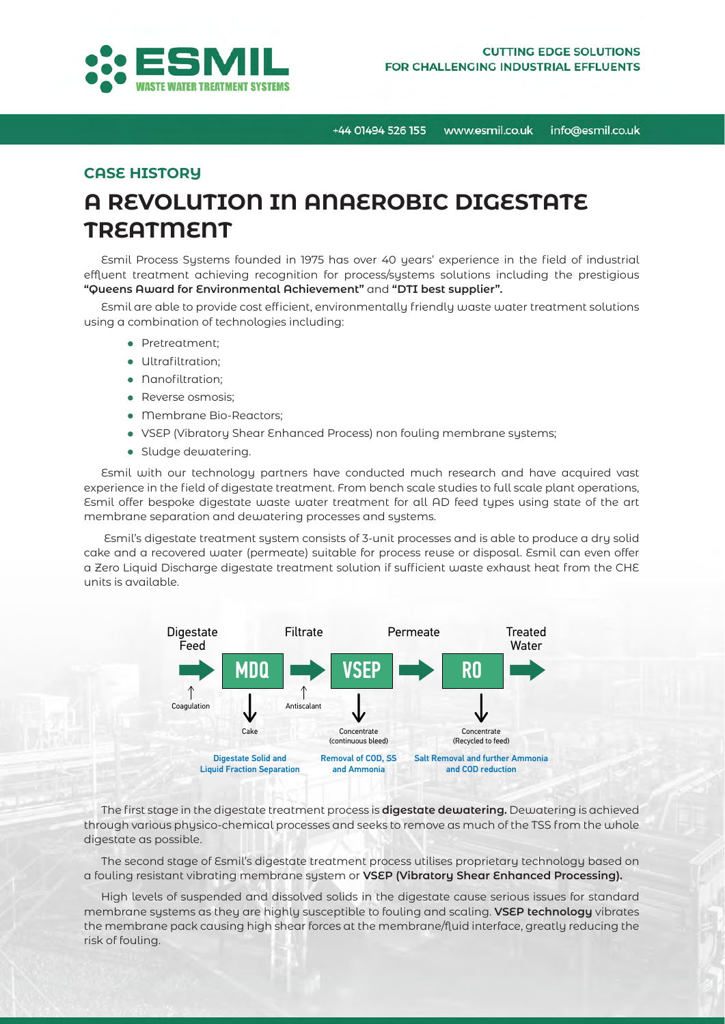

## **CASE HISTORY**

# **A REVOLUTION IN ANAEROBIC DIGESTATE TREATMENT**

Esmil Process Systems founded in 1975 has over 40 years' experience in the field of industrial effluent treatment achieving recognition for process/systems solutions including the prestigious **"Queens Award for Environmental Achievement"** and **"DTI best supplier".**

Esmil are able to provide cost efficient, environmentally friendly waste water treatment solutions using a combination of technologies including:

- Pretreatment;
- Ultrafiltration:
- Nanofiltration:
- Reverse osmosis:
- Membrane Bio-Reactors;
- VSEP (Vibratory Shear Enhanced Process) non fouling membrane systems;
- Sludge dewatering.

Esmil with our technology partners have conducted much research and have acquired vast experience in the field of digestate treatment. From bench scale studies to full scale plant operations, Esmil offer bespoke digestate waste water treatment for all AD feed types using state of the art membrane separation and dewatering processes and systems.

 Esmil's digestate treatment system consists of 3-unit processes and is able to produce a dry solid cake and a recovered water (permeate) suitable for process reuse or disposal. Esmil can even offer a Zero Liquid Discharge digestate treatment solution if sufficient waste exhaust heat from the CHE units is available.



The first stage in the digestate treatment process is **digestate dewatering.** Dewatering is achieved through various physico-chemical processes and seeks to remove as much of the TSS from the whole digestate as possible.

The second stage of Esmil's digestate treatment process utilises proprietary technology based on a fouling resistant vibrating membrane system or **VSEP (Vibratory Shear Enhanced Processing).**

High levels of suspended and dissolved solids in the digestate cause serious issues for standard membrane systems as they are highly susceptible to fouling and scaling. **VSEP technology** vibrates the membrane pack causing high shear forces at the membrane/fluid interface, greatly reducing the risk of fouling.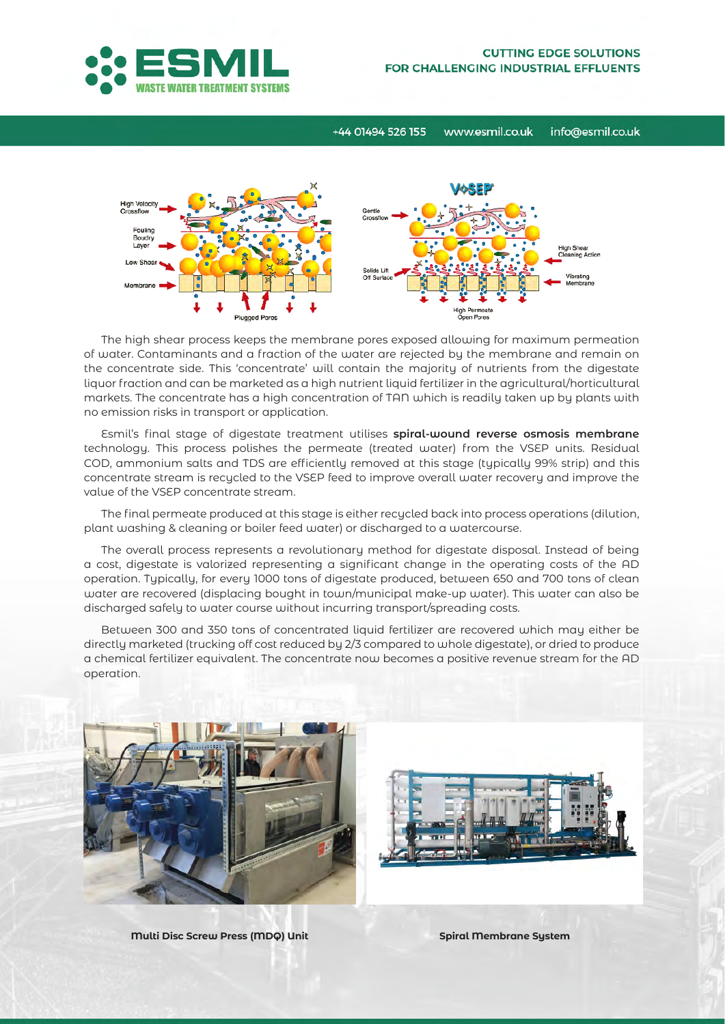



The high shear process keeps the membrane pores exposed allowing for maximum permeation of water. Contaminants and a fraction of the water are rejected by the membrane and remain on the concentrate side. This 'concentrate' will contain the majority of nutrients from the digestate liquor fraction and can be marketed as a high nutrient liquid fertilizer in the agricultural/horticultural markets. The concentrate has a high concentration of TAN which is readily taken up by plants with no emission risks in transport or application.

Esmil's final stage of digestate treatment utilises **spiral-wound reverse osmosis membrane**  technology. This process polishes the permeate (treated water) from the VSEP units. Residual COD, ammonium salts and TDS are efficiently removed at this stage (typically 99% strip) and this concentrate stream is recycled to the VSEP feed to improve overall water recovery and improve the value of the VSEP concentrate stream.

The final permeate produced at this stage is either recycled back into process operations (dilution, plant washing & cleaning or boiler feed water) or discharged to a watercourse.

The overall process represents a revolutionary method for digestate disposal. Instead of being a cost, digestate is valorized representing a significant change in the operating costs of the AD operation. Typically, for every 1000 tons of digestate produced, between 650 and 700 tons of clean water are recovered (displacing bought in town/municipal make-up water). This water can also be discharged safely to water course without incurring transport/spreading costs.

Between 300 and 350 tons of concentrated liquid fertilizer are recovered which may either be directly marketed (trucking off cost reduced by 2/3 compared to whole digestate), or dried to produce a chemical fertilizer equivalent. The concentrate now becomes a positive revenue stream for the AD operation.





**Multi Disc Screw Press (MDQ) Unit Spiral Membrane System**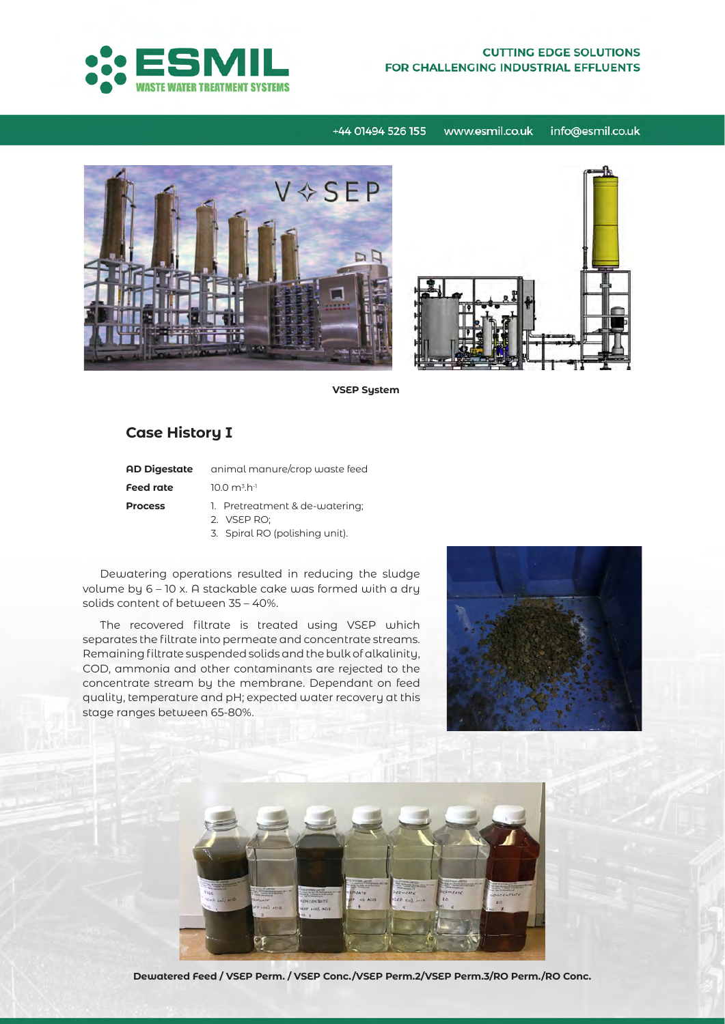

#### **CUTTING EDGE SOLUTIONS** FOR CHALLENGING INDUSTRIAL EFFLUENTS

+44 01494 526 155 www.esmil.co.uk info@esmil.co.uk



**VSEP System**

## **Case History I**

| <b>AD Digestate</b> | animal manure/crop waste feed                                                   |  |  |  |  |
|---------------------|---------------------------------------------------------------------------------|--|--|--|--|
| <b>Feed rate</b>    | $10.0 \text{ m}^3 \text{ h}^{-1}$                                               |  |  |  |  |
| <b>Process</b>      | 1. Pretreatment & de-watering;<br>2. VSEP RO:<br>3. Spiral RO (polishing unit). |  |  |  |  |

Dewatering operations resulted in reducing the sludge volume by 6 – 10 x. A stackable cake was formed with a dry solids content of between 35 – 40%.

The recovered filtrate is treated using VSEP which separates the filtrate into permeate and concentrate streams. Remaining filtrate suspended solids and the bulk of alkalinity, COD, ammonia and other contaminants are rejected to the concentrate stream by the membrane. Dependant on feed quality, temperature and pH; expected water recovery at this stage ranges between 65-80%.





**Dewatered Feed / VSEP Perm. / VSEP Conc./VSEP Perm.2/VSEP Perm.3/RO Perm./RO Conc.**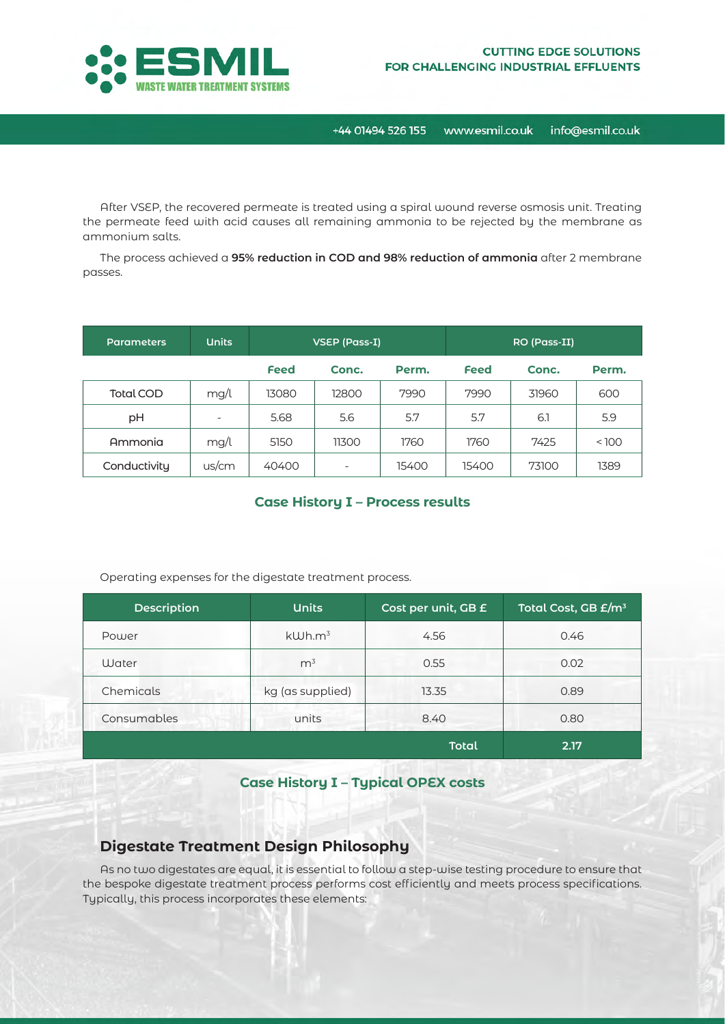

After VSEP, the recovered permeate is treated using a spiral wound reverse osmosis unit. Treating the permeate feed with acid causes all remaining ammonia to be rejected by the membrane as ammonium salts.

The process achieved a **95% reduction in COD and 98% reduction of ammonia** after 2 membrane passes.

| <b>Parameters</b> | <b>Units</b>             | VSEP (Pass-I) |                          |       | RO (Pass-II) |       |       |
|-------------------|--------------------------|---------------|--------------------------|-------|--------------|-------|-------|
|                   |                          | <b>Feed</b>   | Conc.                    | Perm. | <b>Feed</b>  | Conc. | Perm. |
| <b>Total COD</b>  | mg/l                     | 13080         | 12800                    | 7990  | 7990         | 31960 | 600   |
| рH                | $\overline{\phantom{0}}$ | 5.68          | 5.6                      | 5.7   | 5.7          | 6.1   | 5.9   |
| Ammonia           | mg/l                     | 5150          | 11300                    | 1760  | 1760         | 7425  | < 100 |
| Conductivity      | us/cm                    | 40400         | $\overline{\phantom{0}}$ | 15400 | 15400        | 73100 | 1389  |

#### **Case History I – Process results**

Operating expenses for the digestate treatment process.

| <b>Description</b> | <b>Units</b>       | Cost per unit, GB £ | Total Cost, GB £/m <sup>3</sup> |
|--------------------|--------------------|---------------------|---------------------------------|
| Power              | kWh.m <sup>3</sup> | 4.56                | 0.46                            |
| Water              | m <sup>3</sup>     | 0.55                | 0.02                            |
| Chemicals          | kg (as supplied)   | 13.35               | 0.89                            |
| Consumables        | units              | 8.40                | 0.80                            |
|                    |                    | <b>Total</b>        | 2.17                            |

## **Case History I – Typical OPEX costs**

### **Digestate Treatment Design Philosophy**

As no two digestates are equal, it is essential to follow a step-wise testing procedure to ensure that the bespoke digestate treatment process performs cost efficiently and meets process specifications. Typically, this process incorporates these elements: